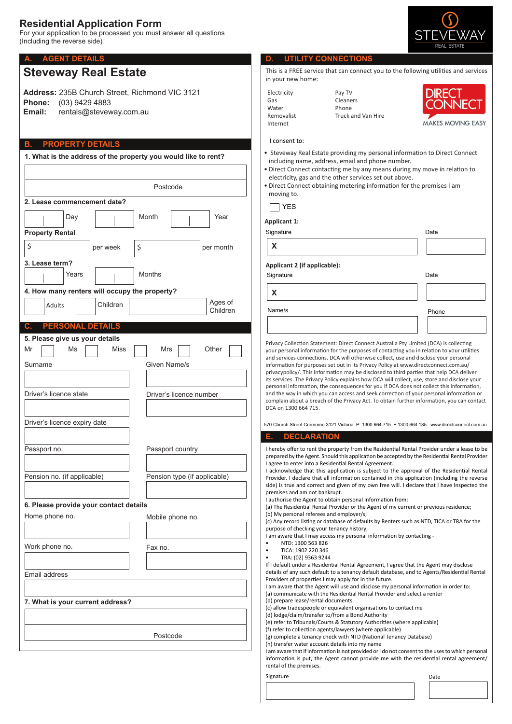# **Residential Application Form**

For your application to be processed you must answer all questions (Including the reverse side)

# **Steveway Real Estate**

**Address:** 235B Church Street, Richmond VIC 3121 **Phone:** (03) 9429 4883 **Email:** rentals@steveway.com.au

## **B. PROPERTY DETAILS**

**2. Lease commencement date?** Day | | | Month | <sub>|</sub> | Year **3. Lease term?** Years Months **4. How many renters will occupy the property?** Adults | Children **1. What is the address of the property you would like to rent?** Postcode Ages of Children **PERSONAL DETAILS** \$ **Property Rental** per week  $\frac{1}{2}$  per month **6. Please provide your contact details 5. Please give us your details** Mr | | Ms | | Miss | | Mrs | | Other Surname Given Name/s Driver's licence number Driver's licence expiry date Driver's licence state Passport no. **Passport country** Pension no. (if applicable) Pension type (if applicable) Home phone no. **Mobile phone no.** Work phone no. Fax no. Email address **7. What is your current address?** Postcode



### **A. AGENT DETAILS D. UTILITY CONNECTIONS**

This is a FREE service that can connect you to the following utilities and services in your new home:

| Electricity |
|-------------|
| Gas         |
| Water       |
| Removalist  |
| Internet    |

Pay TV Cleaners Phone Truck and Van Hire



#### I consent to:

- Steveway Real Estate providing my personal information to Direct Connect including name, address, email and phone number.
- Direct Connect contacting me by any means during my move in relation to electricity, gas and the other services set out above.
- Direct Connect obtaining metering information for the premises I am moving to.

**X**

**X**

Name/s

# **Applicant 1:**

| Signature |  |
|-----------|--|
|           |  |

- 
- 

## **Applicant 2 (if applicable):**

Signature **Date** 

Phone

Privacy Collection Statement: Direct Connect Australia Pty Limited (DCA) is collecting your personal information for the purposes of contacting you in relation to your utilities and services connections. DCA will otherwise collect, use and disclose your personal information for purposes set out in its Privacy Policy at www.directconnect.com.au/ privacypolicy/. This information may be disclosed to third parties that help DCA deliver its services. The Privacy Policy explains how DCA will collect, use, store and disclose your personal information, the consequences for you if DCA does not collect this information, and the way in which you can access and seek correction of your personal information or complain about a breach of the Privacy Act. To obtain further information, you can contact DCA on 1300 664 715.

570 Church Street Cremorne 3121 Victoria P: 1300 664 715 F:1300 664 185. www.directconnect.com.au

#### **E. DECLARATION**

I hereby offer to rent the property from the Residential Rental Provider under a lease to be prepared by the Agent. Should this application be accepted by the Residential Rental Provider I agree to enter into a Residential Rental Agreement.

I acknowledge that this application is subject to the approval of the Residential Rental Provider. I declare that all information contained in this application (including the reverse side) is true and correct and given of my own free will. I declare that I have Inspected the premises and am not bankrupt.

I authorise the Agent to obtain personal Information from:

(a) The Residential Rental Provider or the Agent of my current or previous residence; (b) My personal referees and employer/s;

(c) Any record listing or database of defaults by Renters such as NTD, TICA or TRA for the purpose of checking your tenancy history;

I am aware that I may access my personal information by contacting -

- NTD: 1300 563 826
- TICA: 1902 220 346
- TRA: (02) 9363 9244

If I default under a Residential Rental Agreement, I agree that the Agent may disclose details of any such default to a tenancy default database, and to Agents/Residential Rental Providers of properties I may apply for in the future.

I am aware that the Agent will use and disclose my personal information in order to: (a) communicate with the Residential Rental Provider and select a renter

(b) prepare lease/rental documents

(c) allow tradespeople or equivalent organisations to contact me

(d) lodge/claim/transfer to/from a Bond Authority

(e) refer to Tribunals/Courts & Statutory Authorities (where applicable)

(f) refer to collection agents/lawyers (where applicable) (g) complete a tenancy check with NTD (National Tenancy Database)

(h) transfer water account details into my name

I am aware that if information is not provided or I do not consent to the uses to which personal information is put, the Agent cannot provide me with the residential rental agreement/ rental of the premises.

Signature Date Date of the Contract of the Contract of the Date Date